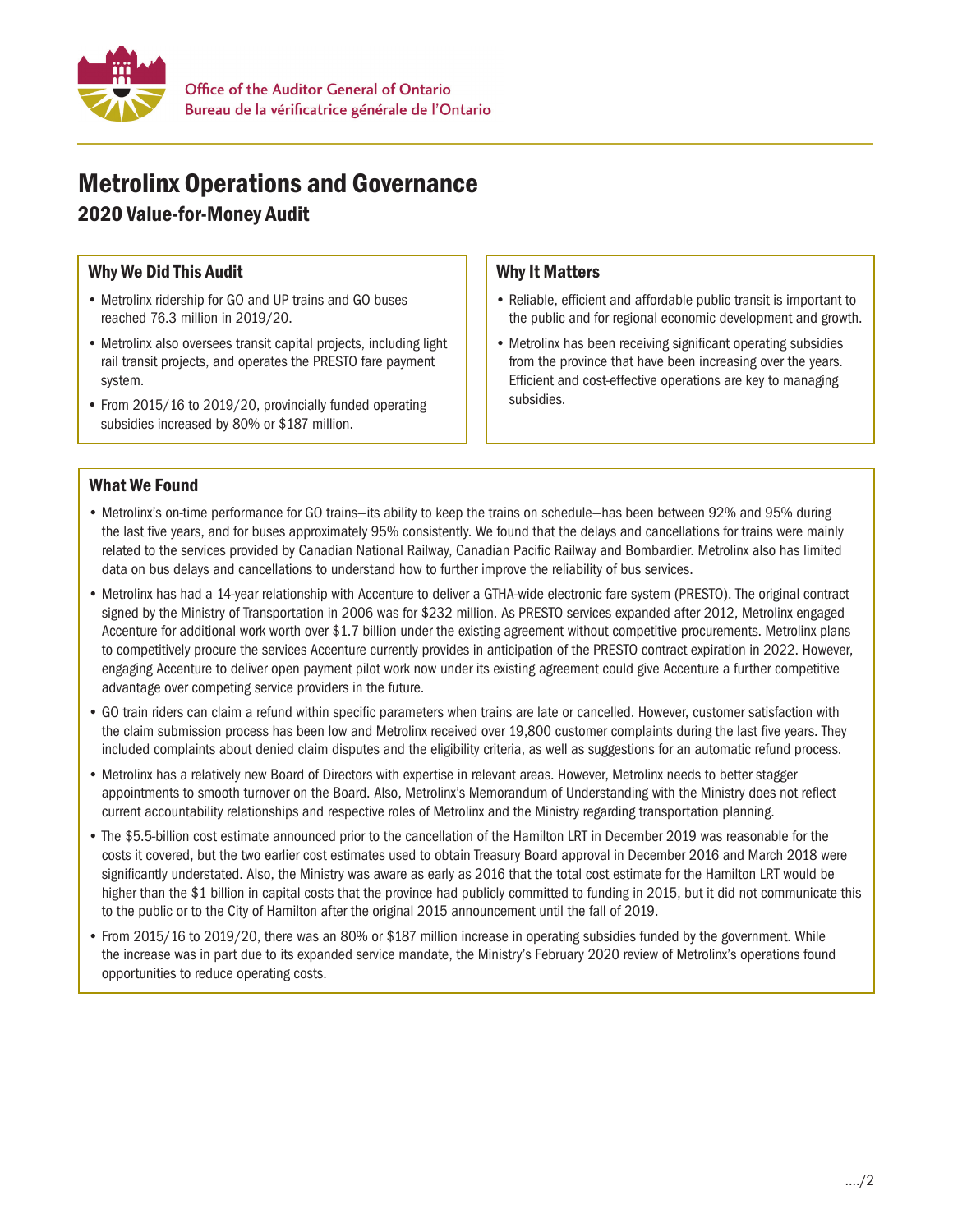

# Metrolinx Operations and Governance

## 2020 Value-for-Money Audit

### Why We Did This Audit

- Metrolinx ridership for GO and UP trains and GO buses reached 76.3 million in 2019/20.
- Metrolinx also oversees transit capital projects, including light rail transit projects, and operates the PRESTO fare payment system.
- From 2015/16 to 2019/20, provincially funded operating subsidies increased by 80% or \$187 million.

#### Why It Matters

- Reliable, efficient and affordable public transit is important to the public and for regional economic development and growth.
- Metrolinx has been receiving significant operating subsidies from the province that have been increasing over the years. Efficient and cost-effective operations are key to managing subsidies.

#### What We Found

- • Metrolinx's on-time performance for GO trains—its ability to keep the trains on schedule—has been between 92% and 95% during the last five years, and for buses approximately 95% consistently. We found that the delays and cancellations for trains were mainly related to the services provided by Canadian National Railway, Canadian Pacific Railway and Bombardier. Metrolinx also has limited data on bus delays and cancellations to understand how to further improve the reliability of bus services.
- • Metrolinx has had a 14-year relationship with Accenture to deliver a GTHA-wide electronic fare system (PRESTO). The original contract signed by the Ministry of Transportation in 2006 was for \$232 million. As PRESTO services expanded after 2012, Metrolinx engaged Accenture for additional work worth over \$1.7 billion under the existing agreement without competitive procurements. Metrolinx plans to competitively procure the services Accenture currently provides in anticipation of the PRESTO contract expiration in 2022. However, engaging Accenture to deliver open payment pilot work now under its existing agreement could give Accenture a further competitive advantage over competing service providers in the future.
- • GO train riders can claim a refund within specific parameters when trains are late or cancelled. However, customer satisfaction with the claim submission process has been low and Metrolinx received over 19,800 customer complaints during the last five years. They included complaints about denied claim disputes and the eligibility criteria, as well as suggestions for an automatic refund process.
- • Metrolinx has a relatively new Board of Directors with expertise in relevant areas. However, Metrolinx needs to better stagger appointments to smooth turnover on the Board. Also, Metrolinx's Memorandum of Understanding with the Ministry does not reflect current accountability relationships and respective roles of Metrolinx and the Ministry regarding transportation planning.
- The \$5.5-billion cost estimate announced prior to the cancellation of the Hamilton LRT in December 2019 was reasonable for the costs it covered, but the two earlier cost estimates used to obtain Treasury Board approval in December 2016 and March 2018 were significantly understated. Also, the Ministry was aware as early as 2016 that the total cost estimate for the Hamilton LRT would be higher than the \$1 billion in capital costs that the province had publicly committed to funding in 2015, but it did not communicate this to the public or to the City of Hamilton after the original 2015 announcement until the fall of 2019.
- From 2015/16 to 2019/20, there was an 80% or \$187 million increase in operating subsidies funded by the government. While the increase was in part due to its expanded service mandate, the Ministry's February 2020 review of Metrolinx's operations found opportunities to reduce operating costs.